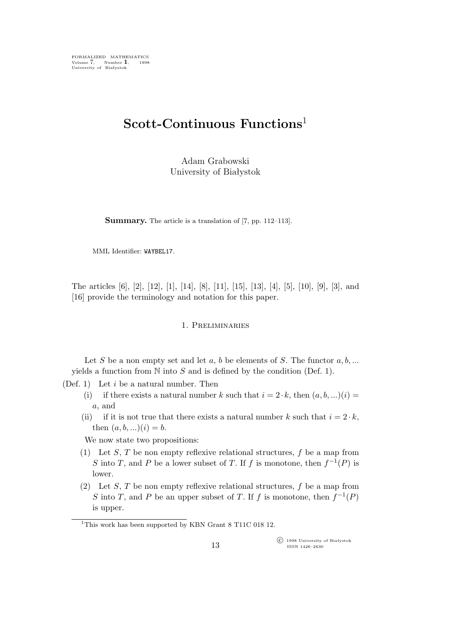FORMALIZED MATHEMATICS Volume 7, Number **1**, 1998 University of Białystok

# **Scott-Continuous Functions**<sup>1</sup>

Adam Grabowski University of Białystok

**Summary.** The article is a translation of [7, pp. 112–113].

MML Identifier: WAYBEL17.

The articles [6], [2], [12], [1], [14], [8], [11], [15], [13], [4], [5], [10], [9], [3], and [16] provide the terminology and notation for this paper.

# 1. Preliminaries

Let S be a non empty set and let  $a, b$  be elements of S. The functor  $a, b, ...$ yields a function from  $N$  into  $S$  and is defined by the condition (Def. 1).

(Def. 1) Let  $i$  be a natural number. Then

- (i) if there exists a natural number k such that  $i = 2 \cdot k$ , then  $(a, b, ...)$ a, and
- (ii) if it is not true that there exists a natural number k such that  $i = 2 \cdot k$ , then  $(a, b, ...)$  $(i) = b$ .

We now state two propositions:

- (1) Let S, T be non empty reflexive relational structures,  $f$  be a map from S into T, and P be a lower subset of T. If f is monotone, then  $f^{-1}(P)$  is lower.
- (2) Let S, T be non empty reflexive relational structures,  $f$  be a map from S into T, and P be an upper subset of T. If f is monotone, then  $f^{-1}(P)$ is upper.

°c 1998 University of Białystok ISSN 1426–2630

<sup>&</sup>lt;sup>1</sup>This work has been supported by KBN Grant 8 T11C 018 12.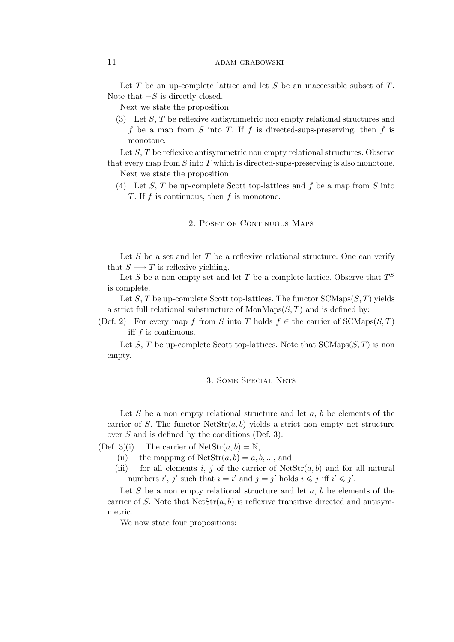## 14 ADAM GRABOWSKI

Let  $T$  be an up-complete lattice and let  $S$  be an inaccessible subset of  $T$ . Note that *−*S is directly closed.

Next we state the proposition

(3) Let  $S, T$  be reflexive antisymmetric non empty relational structures and f be a map from S into T. If f is directed-sups-preserving, then f is monotone.

Let S, T be reflexive antisymmetric non empty relational structures. Observe that every map from  $S$  into  $T$  which is directed-sups-preserving is also monotone.

Next we state the proposition

(4) Let S, T be up-complete Scott top-lattices and f be a map from S into T. If f is continuous, then f is monotone.

# 2. POSET OF CONTINUOUS MAPS

Let S be a set and let T be a reflexive relational structure. One can verify that  $S \rightarrow T$  is reflexive-yielding.

Let S be a non empty set and let T be a complete lattice. Observe that  $T^S$ is complete.

Let S, T be up-complete Scott top-lattices. The functor  $SCMaps(S, T)$  yields a strict full relational substructure of  $MonMaps(S, T)$  and is defined by:

(Def. 2) For every map f from S into T holds  $f \in \text{the carrier of SCMaps}(S, T)$ iff f is continuous.

Let S, T be up-complete Scott top-lattices. Note that  $SCMaps(S, T)$  is non empty.

# 3. Some Special Nets

Let S be a non empty relational structure and let  $a, b$  be elements of the carrier of S. The functor  $N \text{etStr}(a, b)$  yields a strict non empty net structure over S and is defined by the conditions (Def. 3).

 $(Def. 3)(i)$  The carrier of  $NetStr(a, b) = N$ .

- (ii) the mapping of  $\text{NetStr}(a, b) = a, b, ..., \text{ and}$
- (iii) for all elements i, j of the carrier of  $\text{NetStr}(a, b)$  and for all natural numbers *i'*, *j'* such that  $i = i'$  and  $j = j'$  holds  $i \leq j$  iff  $i' \leq j'$ .

Let S be a non empty relational structure and let  $a, b$  be elements of the carrier of S. Note that  $Netstr(a, b)$  is reflexive transitive directed and antisymmetric.

We now state four propositions: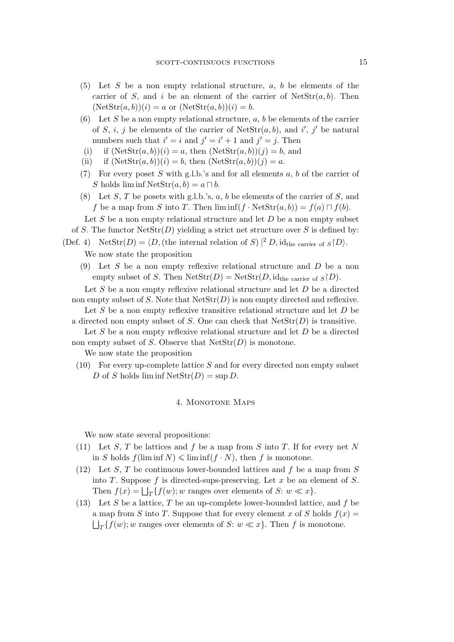- (5) Let S be a non empty relational structure,  $a, b$  be elements of the carrier of S, and i be an element of the carrier of  $\text{NetStr}(a, b)$ . Then  $(NetStr(a, b))(i) = a$  or  $(NetStr(a, b))(i) = b$ .
- (6) Let S be a non empty relational structure,  $a, b$  be elements of the carrier of S, i, j be elements of the carrier of  $\text{NetStr}(a, b)$ , and i', j' be natural numbers such that  $i' = i$  and  $j' = i' + 1$  and  $j' = j$ . Then
- (i) if  $(\text{NetStr}(a, b))(i) = a$ , then  $(\text{NetStr}(a, b))(j) = b$ , and
- (ii) if  $(\text{NetStr}(a, b))(i) = b$ , then  $(\text{NetStr}(a, b))(j) = a$ .
- (7) For every poset S with g.l.b.'s and for all elements  $a, b$  of the carrier of S holds  $\liminf \text{NetStr}(a, b) = a \sqcap b$ .
- (8) Let S, T be posets with g.l.b.'s, a, b be elements of the carrier of S, and f be a map from S into T. Then  $\liminf (f \cdot \text{NetStr}(a, b)) = f(a) \sqcap f(b)$ .

Let  $S$  be a non empty relational structure and let  $D$  be a non empty subset of S. The functor  $\text{NetStr}(D)$  yielding a strict net structure over S is defined by:

(Def. 4) NetStr $(D) = \langle D,$  (the internal relation of S)  $|^2 D$ , id<sub>the carrier of  $S | D$ *i*.</sub>

We now state the proposition

(9) Let S be a non empty reflexive relational structure and  $D$  be a non empty subset of S. Then  $\text{NetStr}(D) = \text{NetStr}(D, id_{the \text{ carrier of } S \mid D).$ 

Let  $S$  be a non empty reflexive relational structure and let  $D$  be a directed non empty subset of S. Note that  $\text{NetStr}(D)$  is non empty directed and reflexive.

Let S be a non empty reflexive transitive relational structure and let  $D$  be a directed non empty subset of S. One can check that  $\text{NetStr}(D)$  is transitive.

Let  $S$  be a non empty reflexive relational structure and let  $D$  be a directed non empty subset of S. Observe that  $\text{NetStr}(D)$  is monotone.

We now state the proposition

 $(10)$  For every up-complete lattice S and for every directed non empty subset D of S holds  $\liminf \text{NetStr}(D) = \sup D$ .

#### 4. MONOTONE MAPS

We now state several propositions:

- (11) Let S, T be lattices and f be a map from S into T. If for every net N in S holds  $f(\liminf N) \leq \liminf (f \cdot N)$ , then f is monotone.
- (12) Let S, T be continuous lower-bounded lattices and f be a map from S into T. Suppose  $f$  is directed-sups-preserving. Let  $x$  be an element of  $S$ . Then  $f(x) = \bigsqcup_{T} \{f(w); w \text{ ranges over elements of } S: w \ll x\}.$
- (13) Let S be a lattice, T be an up-complete lower-bounded lattice, and f be a map from S into T. Suppose that for every element x of S holds  $f(x) =$  $\Box_T \{f(w); w \text{ ranges over elements of } S: w \ll x\}.$  Then f is monotone.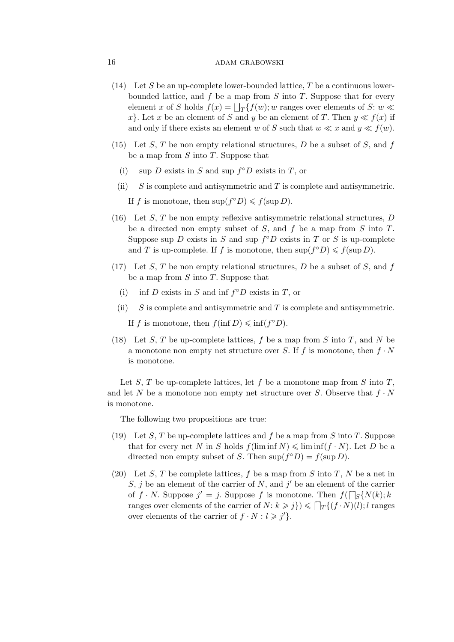## 16 ADAM GRABOWSKI

- (14) Let S be an up-complete lower-bounded lattice, T be a continuous lowerbounded lattice, and  $f$  be a map from  $S$  into  $T$ . Suppose that for every element x of S holds  $f(x) = \bigsqcup_T {f(w)}; w$  ranges over elements of S:  $w \ll$ x<sup>*}*</sup>. Let x be an element of S and y be an element of T. Then  $y \ll f(x)$  if and only if there exists an element w of S such that  $w \ll x$  and  $y \ll f(w)$ .
- (15) Let  $S$ ,  $T$  be non empty relational structures,  $D$  be a subset of  $S$ , and  $f$ be a map from  $S$  into  $T$ . Suppose that
	- (i) sup *D* exists in S and sup  $f^{\circ}D$  exists in T, or
	- (ii)  $S$  is complete and antisymmetric and T is complete and antisymmetric.

If f is monotone, then  $\sup(f^{\circ}D) \leq f(\sup D)$ .

- (16) Let  $S$ ,  $T$  be non empty reflexive antisymmetric relational structures,  $D$ be a directed non empty subset of  $S$ , and  $f$  be a map from  $S$  into  $T$ . Suppose sup D exists in S and sup  $f^{\circ}D$  exists in T or S is up-complete and T is up-complete. If f is monotone, then  $\sup(f^{\circ}D) \leq f(\sup D)$ .
- (17) Let S, T be non empty relational structures, D be a subset of S, and  $f$ be a map from  $S$  into  $T$ . Suppose that
	- (i) inf D exists in S and inf  $f^{\circ}D$  exists in T, or
	- (ii)  $S$  is complete and antisymmetric and T is complete and antisymmetric.
		- If f is monotone, then  $f(\inf D) \leq \inf(f^{\circ} D)$ .
- (18) Let S, T be up-complete lattices, f be a map from S into T, and N be a monotone non empty net structure over S. If f is monotone, then  $f \cdot N$ is monotone.

Let S, T be up-complete lattices, let f be a monotone map from S into T, and let N be a monotone non empty net structure over S. Observe that  $f \cdot N$ is monotone.

The following two propositions are true:

- (19) Let S, T be up-complete lattices and f be a map from S into T. Suppose that for every net N in S holds  $f(\liminf N) \leq \liminf (f \cdot N)$ . Let D be a directed non empty subset of S. Then  $\sup(f^{\circ}D) = f(\sup D)$ .
- (20) Let S, T be complete lattices, f be a map from S into T, N be a net in  $S, j$  be an element of the carrier of  $N$ , and  $j'$  be an element of the carrier of  $f \cdot N$ . Suppose  $j' = j$ . Suppose f is monotone. Then  $f(\bigcap_{S} \{N(k); k\})$ ranges over elements of the carrier of  $N: k \geq j$ })  $\leq \lceil \frac{1}{T} \{ (f \cdot N)(l); l \text{ ranges}} \}$ over elements of the carrier of  $f \cdot N : l \geqslant j'$ .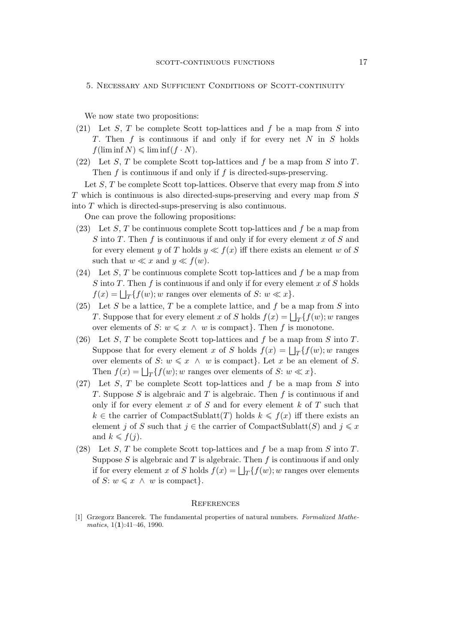5. Necessary and Sufficient Conditions of Scott-continuity

We now state two propositions:

- (21) Let S, T be complete Scott top-lattices and f be a map from S into T. Then f is continuous if and only if for every net N in S holds  $f(\liminf N) \leqslant \liminf(f \cdot N).$
- (22) Let S, T be complete Scott top-lattices and f be a map from S into T. Then  $f$  is continuous if and only if  $f$  is directed-sups-preserving.

Let  $S$ ,  $T$  be complete Scott top-lattices. Observe that every map from  $S$  into T which is continuous is also directed-sups-preserving and every map from S into T which is directed-sups-preserving is also continuous.

One can prove the following propositions:

- (23) Let S, T be continuous complete Scott top-lattices and f be a map from S into T. Then f is continuous if and only if for every element x of S and for every element y of T holds  $y \ll f(x)$  iff there exists an element w of S such that  $w \ll x$  and  $y \ll f(w)$ .
- (24) Let S, T be continuous complete Scott top-lattices and f be a map from S into T. Then f is continuous if and only if for every element x of S holds  $f(x) = \bigsqcup_T \{f(w); w \text{ ranges over elements of } S: w \ll x\}.$
- (25) Let S be a lattice, T be a complete lattice, and f be a map from S into *T*. Suppose that for every element x of S holds  $f(x) = \bigsqcup_{T} \{f(w); w \text{ ranges}$ over elements of S:  $w \leq x \land w$  is compact}. Then f is monotone.
- (26) Let S, T be complete Scott top-lattices and f be a map from S into T. Suppose that for every element x of S holds  $f(x) = \bigsqcup_{T} \{f(w); w \text{ ranges}$ over elements of S:  $w \leq x \land w$  is compact}. Let x be an element of S. Then  $f(x) = \bigsqcup_{T} \{f(w); w \text{ ranges over elements of } S: w \ll x\}.$
- (27) Let S, T be complete Scott top-lattices and f be a map from S into T. Suppose S is algebraic and T is algebraic. Then  $f$  is continuous if and only if for every element x of S and for every element  $k$  of T such that  $k \in \text{the carrier of CompactSublatt}(T)$  holds  $k \leq f(x)$  iff there exists an element j of S such that  $j \in$  the carrier of CompactSublatt(S) and  $j \leq x$ and  $k \leq f(j)$ .
- (28) Let S, T be complete Scott top-lattices and f be a map from S into T. Suppose S is algebraic and T is algebraic. Then  $f$  is continuous if and only if for every element x of S holds  $f(x) = \bigsqcup_{T} \{f(w); w \text{ ranges over elements}\}$ of  $S: w \leq x \land w$  is compact}.

#### **REFERENCES**

[1] Grzegorz Bancerek. The fundamental properties of natural numbers. *Formalized Mathematics*, 1(**1**):41–46, 1990.